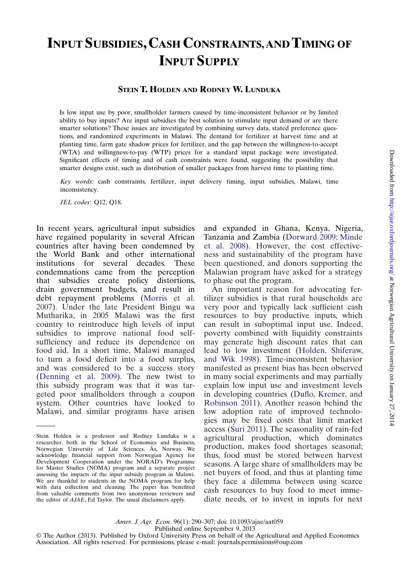# **INPUT SUBSIDIES,CASH CONSTRAINTS, AND TIMING OF INPUT SUPPLY**

#### **STEIN T. HOLDEN AND RODNEY W. LUNDUKA**

Is low input use by poor, smallholder farmers caused by time-inconsistent behavior or by limited ability to buy inputs? Are input subsidies the best solution to stimulate input demand or are there smarter solutions? These issues are investigated by combining survey data, stated preference questions, and randomized experiments in Malawi. The demand for fertilizer at harvest time and at planting time, farm gate shadow prices for fertilizer, and the gap between the willingness-to-accept (WTA) and willingness-to-pay (WTP) prices for a standard input package were investigated. Significant effects of timing and of cash constraints were found, suggesting the possibility that smarter designs exist, such as distribution of smaller packages from harvest time to planting time.

*Key words*: cash constraints, fertilizer, input delivery timing, input subsidies, Malawi, time inconsistency.

*JEL codes*: Q12, Q18.

In recent years, agricultural input subsidies have regained popularity in several African countries after having been condemned by the World Bank and other international institutions for several decades. These condemnations came from the perception that subsidies create policy distortions, drain government budgets, and result in debt repayment problems [\(Morris et al.](#page-15-0) [2007\)](#page-15-0). Under the late President Bingu wa Mutharika, in 2005 Malawi was the first country to reintroduce high levels of input subsidies to improve national food selfsufficiency and reduce its dependence on food aid. In a short time, Malawi managed to turn a food deficit into a food surplus, and was considered to be a success story [\(Denning et al. 2009\)](#page-14-0). The new twist to this subsidy program was that it was targeted poor smallholders through a coupon system. Other countries have looked to Malawi, and similar programs have arisen

and expanded in Ghana, Kenya, Nigeria, Tanzania and Zambia [\(Dorward 2009;](#page-14-0) [Minde](#page-15-0) [et al. 2008\)](#page-15-0). However, the cost effectiveness and sustainability of the program have been questioned, and donors supporting the Malawian program have asked for a strategy to phase out the program.

An important reason for advocating fertilizer subsidies is that rural households are very poor and typically lack sufficient cash resources to buy productive inputs, which can result in suboptimal input use. Indeed, poverty combined with liquidity constraints may generate high discount rates that can lead to low investment [\(Holden, Shiferaw,](#page-15-0) [and Wik 1998\)](#page-15-0). Time-inconsistent behavior manifested as present bias has been observed in many social experiments and may partially explain low input use and investment levels in developing countries (Duflo, Kremer, and Robinson 2011). Another reason behind the low adoption rate of improved technologies may be fixed costs that limit market access [\(Suri 2011\)](#page-16-0). The seasonality of rain-fed agricultural production, which dominates production, makes food shortages seasonal; thus, food must be stored between harvest seasons. A large share of smallholders may be net buyers of food, and thus at planting time they face a dilemma between using scarce cash resources to buy food to meet immediate needs, or to invest in inputs for next

*Amer. J. Agr. Econ.* 96(1): 290–307; doi: 10.1093/ajae/aat059

Published online September 9, 2013

© The Author (2013). Published by Oxford University Press on behalf of the Agricultural and Applied Economics Association. All rights reserved. For permissions, please e-mail: journals.permissions@oup.com

Stein Holden is a professor and Rodney Lunduka is a researcher, both in the School of Economics and Business, Norwegian University of Life Sciences, Ås, Norway. We acknowledge financial support from Norwegian Agency for Development Cooperation under the NORAD's Programme for Master Studies (NOMA) program and a separate project assessing the impacts of the input subsidy program in Malawi. We are thankful to students in the NOMA program for help with data collection and cleaning. The paper has benefited from valuable comments from two anonymous reviewers and the editor of *AJAE*, Ed Taylor. The usual disclaimers apply.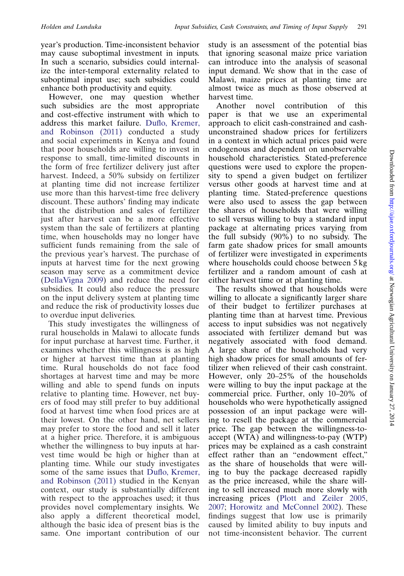year's production. Time-inconsistent behavior may cause suboptimal investment in inputs. In such a scenario, subsidies could internalize the inter-temporal externality related to suboptimal input use; such subsidies could enhance both productivity and equity.

However, one may question whether such subsidies are the most appropriate and cost-effective instrument with which to address this market failure. [Duflo, Kremer,](#page-15-0) [and Robinson \(2011\)](#page-15-0) conducted a study and social experiments in Kenya and found that poor households are willing to invest in response to small, time-limited discounts in the form of free fertilizer delivery just after harvest. Indeed, a 50% subsidy on fertilizer at planting time did not increase fertilizer use more than this harvest-time free delivery discount. These authors' finding may indicate that the distribution and sales of fertilizer just after harvest can be a more effective system than the sale of fertilizers at planting time, when households may no longer have sufficient funds remaining from the sale of the previous year's harvest. The purchase of inputs at harvest time for the next growing season may serve as a commitment device [\(DellaVigna 2009\)](#page-14-0) and reduce the need for subsidies. It could also reduce the pressure on the input delivery system at planting time and reduce the risk of productivity losses due to overdue input deliveries.

This study investigates the willingness of rural households in Malawi to allocate funds for input purchase at harvest time. Further, it examines whether this willingness is as high or higher at harvest time than at planting time. Rural households do not face food shortages at harvest time and may be more willing and able to spend funds on inputs relative to planting time. However, net buyers of food may still prefer to buy additional food at harvest time when food prices are at their lowest. On the other hand, net sellers may prefer to store the food and sell it later at a higher price. Therefore, it is ambiguous whether the willingness to buy inputs at harvest time would be high or higher than at planting time. While our study investigates some of the same issues that [Duflo, Kremer,](#page-15-0) [and Robinson \(2011\)](#page-15-0) studied in the Kenyan context, our study is substantially different with respect to the approaches used; it thus provides novel complementary insights. We also apply a different theoretical model, although the basic idea of present bias is the same. One important contribution of our

study is an assessment of the potential bias that ignoring seasonal maize price variation can introduce into the analysis of seasonal input demand. We show that in the case of Malawi, maize prices at planting time are almost twice as much as those observed at harvest time.

Another novel contribution of this paper is that we use an experimental approach to elicit cash-constrained and cashunconstrained shadow prices for fertilizers in a context in which actual prices paid were endogenous and dependent on unobservable household characteristics. Stated-preference questions were used to explore the propensity to spend a given budget on fertilizer versus other goods at harvest time and at planting time. Stated-preference questions were also used to assess the gap between the shares of households that were willing to sell versus willing to buy a standard input package at alternating prices varying from the full subsidy (90%) to no subsidy. The farm gate shadow prices for small amounts of fertilizer were investigated in experiments where households could choose between 5 kg fertilizer and a random amount of cash at either harvest time or at planting time.

The results showed that households were willing to allocate a significantly larger share of their budget to fertilizer purchases at planting time than at harvest time. Previous access to input subsidies was not negatively associated with fertilizer demand but was negatively associated with food demand. A large share of the households had very high shadow prices for small amounts of fertilizer when relieved of their cash constraint. However, only 20–25% of the households were willing to buy the input package at the commercial price. Further, only 10–20% of households who were hypothetically assigned possession of an input package were willing to resell the package at the commercial price. The gap between the willingness-toaccept (WTA) and willingness-to-pay (WTP) prices may be explained as a cash constraint effect rather than an "endowment effect," as the share of households that were willing to buy the package decreased rapidly as the price increased, while the share willing to sell increased much more slowly with increasing prices [\(Plott and Zeiler 2005,](#page-16-0) [2007;](#page-16-0) [Horowitz and McConnel 2002\)](#page-15-0). These findings suggest that low use is primarily caused by limited ability to buy inputs and not time-inconsistent behavior. The current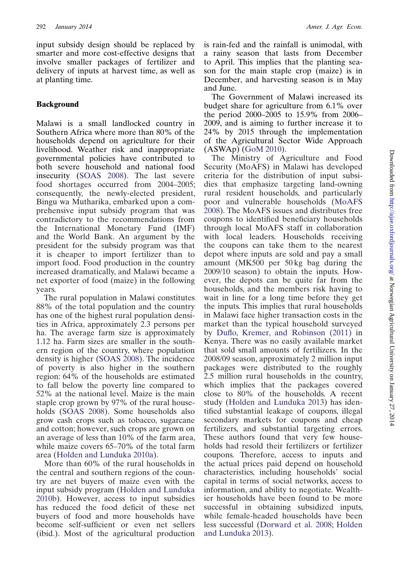input subsidy design should be replaced by smarter and more cost-effective designs that involve smaller packages of fertilizer and delivery of inputs at harvest time, as well as at planting time.

## **Background**

Malawi is a small landlocked country in Southern Africa where more than 80% of the households depend on agriculture for their livelihood. Weather risk and inappropriate governmental policies have contributed to both severe household and national food insecurity [\(SOAS 2008\)](#page-16-0). The last severe food shortages occurred from 2004–2005; consequently, the newly-elected president, Bingu wa Mutharika, embarked upon a comprehensive input subsidy program that was contradictory to the recommendations from the International Monetary Fund (IMF) and the World Bank. An argument by the president for the subsidy program was that it is cheaper to import fertilizer than to import food. Food production in the country increased dramatically, and Malawi became a net exporter of food (maize) in the following years.

The rural population in Malawi constitutes 88% of the total population and the country has one of the highest rural population densities in Africa, approximately 2.3 persons per ha. The average farm size is approximately 1.12 ha. Farm sizes are smaller in the southern region of the country, where population density is higher [\(SOAS 2008\)](#page-16-0). The incidence of poverty is also higher in the southern region: 64% of the households are estimated to fall below the poverty line compared to 52% at the national level. Maize is the main staple crop grown by 97% of the rural households [\(SOAS 2008\)](#page-16-0). Some households also grow cash crops such as tobacco, sugarcane and cotton; however, such crops are grown on an average of less than 10% of the farm area, while maize covers 65–70% of the total farm area [\(Holden and Lunduka 2010a\)](#page-15-0).

More than 60% of the rural households in the central and southern regions of the country are net buyers of maize even with the input subsidy program [\(Holden and Lunduka](#page-15-0) [2010b\)](#page-15-0). However, access to input subsidies has reduced the food deficit of these net buyers of food and more households have become self-sufficient or even net sellers (ibid.). Most of the agricultural production

is rain-fed and the rainfall is unimodal, with a rainy season that lasts from December to April. This implies that the planting season for the main staple crop (maize) is in December, and harvesting season is in May and June.

The Government of Malawi increased its budget share for agriculture from 6.1% over the period 2000–2005 to 15.9% from 2006– 2009, and is aiming to further increase it to 24% by 2015 through the implementation of the Agricultural Sector Wide Approach (ASWAp) [\(GoM 2010\)](#page-15-0).

The Ministry of Agriculture and Food Security (MoAFS) in Malawi has developed criteria for the distribution of input subsidies that emphasize targeting land-owning rural resident households, and particularly poor and vulnerable households [\(MoAFS](#page-15-0) [2008\)](#page-15-0). The MoAFS issues and distributes free coupons to identified beneficiary households through local MoAFS staff in collaboration with local leaders. Households receiving the coupons can take them to the nearest depot where inputs are sold and pay a small amount (MK500 per 50 kg bag during the 2009/10 season) to obtain the inputs. However, the depots can be quite far from the households, and the members risk having to wait in line for a long time before they get the inputs. This implies that rural households in Malawi face higher transaction costs in the market than the typical household surveyed by [Duflo, Kremer, and Robinson \(2011\)](#page-15-0) in Kenya. There was no easily available market that sold small amounts of fertilizers. In the 2008/09 season, approximately 2 million input packages were distributed to the roughly 2.5 million rural households in the country, which implies that the packages covered close to 80% of the households. A recent study [\(Holden and Lunduka 2013\)](#page-15-0) has identified substantial leakage of coupons, illegal secondary markets for coupons and cheap fertilizers, and substantial targeting errors. These authors found that very few households had resold their fertilizers or fertilizer coupons. Therefore, access to inputs and the actual prices paid depend on household characteristics, including households' social capital in terms of social networks, access to information, and ability to negotiate. Wealthier households have been found to be more successful in obtaining subsidized inputs, while female-headed households have been less successful [\(Dorward et al. 2008;](#page-15-0) [Holden](#page-15-0) [and Lunduka 2013\)](#page-15-0).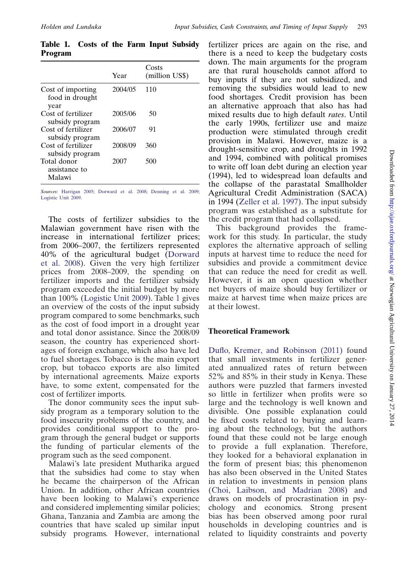|                                              |         | Costs          |
|----------------------------------------------|---------|----------------|
|                                              | Year    | (million US\$) |
| Cost of importing<br>food in drought<br>year | 2004/05 | 110            |
| Cost of fertilizer<br>subsidy program        | 2005/06 | 50             |
| Cost of fertilizer<br>subsidy program        | 2006/07 | 91             |
| Cost of fertilizer<br>subsidy program        | 2008/09 | 360            |
| Total donor<br>assistance to<br>Malawi       | 2007    | 500            |

**Table 1. Costs of the Farm Input Subsidy Program**

*Sources*: [Harrigan 2005;](#page-15-0) [Dorward et al. 2008;](#page-15-0) [Denning et al. 2009;](#page-14-0) [Logistic Unit 2009.](#page-15-0)

The costs of fertilizer subsidies to the Malawian government have risen with the increase in international fertilizer prices; from 2006–2007, the fertilizers represented 40% of the agricultural budget [\(Dorward](#page-15-0) [et al. 2008\)](#page-15-0). Given the very high fertilizer prices from 2008–2009, the spending on fertilizer imports and the fertilizer subsidy program exceeded the initial budget by more than 100% [\(Logistic Unit 2009\)](#page-15-0). Table 1 gives an overview of the costs of the input subsidy program compared to some benchmarks, such as the cost of food import in a drought year and total donor assistance. Since the 2008/09 season, the country has experienced shortages of foreign exchange, which also have led to fuel shortages. Tobacco is the main export crop, but tobacco exports are also limited by international agreements. Maize exports have, to some extent, compensated for the cost of fertilizer imports.

The donor community sees the input subsidy program as a temporary solution to the food insecurity problems of the country, and provides conditional support to the program through the general budget or supports the funding of particular elements of the program such as the seed component.

Malawi's late president Mutharika argued that the subsidies had come to stay when he became the chairperson of the African Union. In addition, other African countries have been looking to Malawi's experience and considered implementing similar policies; Ghana, Tanzania and Zambia are among the countries that have scaled up similar input subsidy programs. However, international fertilizer prices are again on the rise, and there is a need to keep the budgetary costs down. The main arguments for the program are that rural households cannot afford to buy inputs if they are not subsidized, and removing the subsidies would lead to new food shortages. Credit provision has been an alternative approach that also has had mixed results due to high default *rates*. Until the early 1990s, fertilizer use and maize production were stimulated through credit provision in Malawi. However, maize is a drought-sensitive crop, and droughts in 1992 and 1994, combined with political promises to write off loan debt during an election year (1994), led to widespread loan defaults and the collapse of the parastatal Smallholder Agricultural Credit Administration (SACA) in 1994 [\(Zeller et al. 1997\)](#page-16-0). The input subsidy program was established as a substitute for the credit program that had collapsed.

This background provides the framework for this study. In particular, the study explores the alternative approach of selling inputs at harvest time to reduce the need for subsidies and provide a commitment device that can reduce the need for credit as well. However, it is an open question whether net buyers of maize should buy fertilizer or maize at harvest time when maize prices are at their lowest.

## **Theoretical Framework**

[Duflo, Kremer, and Robinson \(2011\)](#page-15-0) found that small investments in fertilizer generated annualized rates of return between 52% and 85% in their study in Kenya. These authors were puzzled that farmers invested so little in fertilizer when profits were so large and the technology is well known and divisible. One possible explanation could be fixed costs related to buying and learning about the technology, but the authors found that these could not be large enough to provide a full explanation. Therefore, they looked for a behavioral explanation in the form of present bias; this phenomenon has also been observed in the United States in relation to investments in pension plans [\(Choi, Laibson, and Madrian 2008\)](#page-14-0) and draws on models of procrastination in psychology and economics. Strong present bias has been observed among poor rural households in developing countries and is related to liquidity constraints and poverty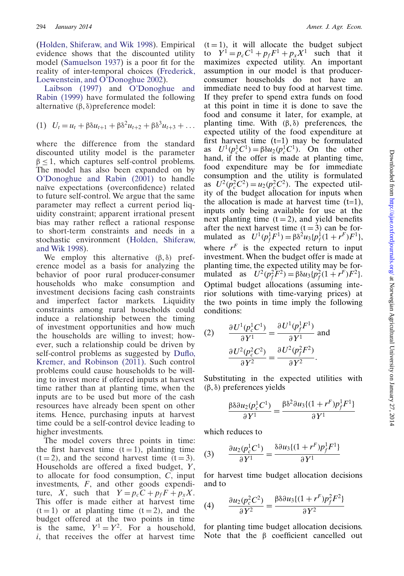[\(Holden, Shiferaw, and Wik 1998\)](#page-15-0). Empirical evidence shows that the discounted utility model [\(Samuelson 1937\)](#page-16-0) is a poor fit for the reality of inter-temporal choices [\(Frederick,](#page-15-0) [Loewenstein, and O'Donoghue 2002\)](#page-15-0).

[Laibson \(1997\)](#page-15-0) and O'Donoghue and Rabin (1999) have formulated the following alternative *(*β, δ*)*preference model:

(1) 
$$
U_t = u_t + \beta \delta u_{t+1} + \beta \delta^2 u_{t+2} + \beta \delta^3 u_{t+3} + \dots
$$

where the difference from the standard discounted utility model is the parameter  $\beta \leq 1$ , which captures self-control problems. The model has also been expanded on by [O'Donoghue and Rabin \(2001\)](#page-16-0) to handle naïve expectations (overconfidence) related to future self-control. We argue that the same parameter may reflect a current period liquidity constraint; apparent irrational present bias may rather reflect a rational response to short-term constraints and needs in a stochastic environment [\(Holden, Shiferaw,](#page-15-0) [and Wik 1998\)](#page-15-0).

We employ this alternative (β, δ) preference model as a basis for analyzing the behavior of poor rural producer-consumer households who make consumption and investment decisions facing cash constraints and imperfect factor markets. Liquidity constraints among rural households could induce a relationship between the timing of investment opportunities and how much the households are willing to invest; however, such a relationship could be driven by self-control problems as suggested by [Duflo,](#page-15-0) [Kremer, and Robinson \(2011\).](#page-15-0) Such control problems could cause households to be willing to invest more if offered inputs at harvest time rather than at planting time, when the inputs are to be used but more of the cash resources have already been spent on other items. Hence, purchasing inputs at harvest time could be a self-control device leading to higher investments.

The model covers three points in time: the first harvest time  $(t = 1)$ , planting time  $(t = 2)$ , and the second harvest time  $(t = 3)$ . Households are offered a fixed budget, *Y*, to allocate for food consumption, *C*, input investments, *F*, and other goods expenditure, *X*, such that  $Y = p_c C + p_f F + p_x X$ . This offer is made either at harvest time  $(t = 1)$  or at planting time  $(t = 2)$ , and the budget offered at the two points in time is the same,  $Y^1 = Y^2$ . For a household, *i*, that receives the offer at harvest time

 $(t = 1)$ , it will allocate the budget subject to  $Y^1 = p_c C^1 + p_f F^1 + p_x X^1$  such that it maximizes expected utility. An important assumption in our model is that producerconsumer households do not have an immediate need to buy food at harvest time. If they prefer to spend extra funds on food at this point in time it is done to save the food and consume it later, for example, at planting time. With *(*β, δ*)* preferences, the expected utility of the food expenditure at first harvest time  $(t=1)$  may be formulated as  $U^1(p_c^1C^1) = \beta \delta u_2(p_c^1C^1)$ . On the other hand, if the offer is made at planting time, food expenditure may be for immediate consumption and the utility is formulated as  $U^2(\bar{p}_c^2 C^2) = u_2(p_c^2 C^2)$ . The expected utility of the budget allocation for inputs when the allocation is made at harvest time  $(t=1)$ , inputs only being available for use at the next planting time  $(t = 2)$ , and yield benefits after the next harvest time  $(t = 3)$  can be formulated as  $U^1(p_f^1 F^1) = \beta \delta^2 u_3 \{p_f^1 (1 + r^F) F^1 \},$ where  $r<sup>F</sup>$  is the expected return to input investment. When the budget offer is made at planting time, the expected utility may be for $mulated$  as  $U^2(p_f^2 \tilde{F}^2) = \beta \delta u_3 \{p_f^2 (1 + r^F) F^2\}.$ Optimal budget allocations (assuming interior solutions with time-varying prices) at the two points in time imply the following conditions:

(2) 
$$
\frac{\partial U^1(p_c^1 C^1)}{\partial Y^1} = \frac{\partial U^1(p_f^1 F^1)}{\partial Y^1}
$$
 and 
$$
\frac{\partial U^2(p_c^2 C^2)}{\partial Y^2} = \frac{\partial U^2(p_f^2 F^2)}{\partial Y^2}.
$$

Substituting in the expected utilities with *(*β, δ*)* preferences yields

$$
\frac{\beta \delta \partial u_2(p_c^1 C^1)}{\partial Y^1} = \frac{\beta \delta^2 \partial u_3 \{(1 + r^F) p_f^1 F^1\}}{\partial Y^1}
$$

which reduces to

(3) 
$$
\frac{\partial u_2(p_c^1 C^1)}{\partial Y^1} = \frac{\delta \partial u_3 \{(1 + r^F) p_f^1 F^1\}}{\partial Y^1}
$$

for harvest time budget allocation decisions and to

$$
(4) \qquad \frac{\partial u_2(p_c^2 C^2)}{\partial Y^2} = \frac{\beta \delta \partial u_3 \{ (1 + r^F) p_f^2 F^2 \}}{\partial Y^2}
$$

for planting time budget allocation decisions. Note that the  $β$  coefficient cancelled out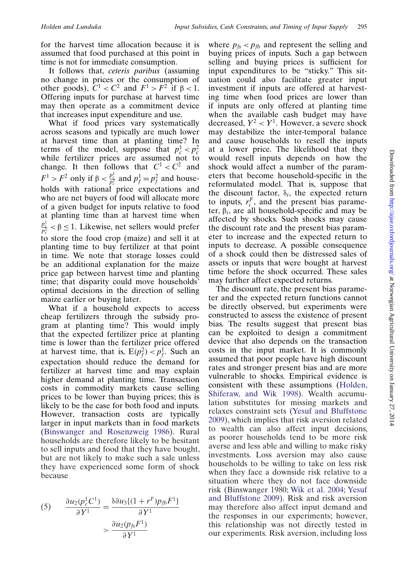for the harvest time allocation because it is assumed that food purchased at this point in time is not for immediate consumption.

It follows that, *ceteris paribus* (assuming no change in prices or the consumption of other goods),  $C^1 < C^2$  and  $F^1 > F^2$  if  $\beta < 1$ . Offering inputs for purchase at harvest time may then operate as a commitment device that increases input expenditure and use.

What if food prices vary systematically across seasons and typically are much lower at harvest time than at planting time? In terms of the model, suppose that  $p_c^1 < p_c^2$ while fertilizer prices are assumed not to change. It then follows that  $C^1 < C^2$  and *F*<sup>1</sup> > *F*<sup>2</sup> only if β <  $\frac{p_c^1}{p_c^2}$  and  $p_f^1 = p_f^2$  and households with rational price expectations and who are net buyers of food will allocate more of a given budget for inputs relative to food at planting time than at harvest time when  $\frac{p_c^1}{p_c^2} < \beta \le 1$ . Likewise, net sellers would prefer to store the food crop (maize) and sell it at planting time to buy fertilizer at that point in time. We note that storage losses could be an additional explanation for the maize price gap between harvest time and planting time; that disparity could move households' optimal decisions in the direction of selling maize earlier or buying later.

What if a household expects to access cheap fertilizers through the subsidy program at planting time? This would imply that the expected fertilizer price at planting time is lower than the fertilizer price offered at harvest time, that is,  $E(p_f^2) < p_f^1$ . Such an expectation should reduce the demand for fertilizer at harvest time and may explain higher demand at planting time. Transaction costs in commodity markets cause selling prices to be lower than buying prices; this is likely to be the case for both food and inputs. However, transaction costs are typically larger in input markets than in food markets [\(Binswanger and Rosenzweig 1986\)](#page-14-0). Rural households are therefore likely to be hesitant to sell inputs and food that they have bought, but are not likely to make such a sale unless they have experienced some form of shock because

$$
(5) \qquad \frac{\partial u_2(p_c^1 C^1)}{\partial Y^1} = \frac{\delta \partial u_3 \{ (1 + r^F) p_{fb} F^1 \}}{\partial Y^1} > \frac{\partial u_2(p_{fs} F^1)}{\partial Y^1}
$$

where  $p_f \leq p_f \neq p_f$  and represent the selling and buying prices of inputs. Such a gap between selling and buying prices is sufficient for input expenditures to be "sticky." This situation could also facilitate greater input investment if inputs are offered at harvesting time when food prices are lower than if inputs are only offered at planting time when the available cash budget may have decreased,  $Y^2 < Y^1$ . However, a severe shock may destabilize the inter-temporal balance and cause households to resell the inputs at a lower price. The likelihood that they would resell inputs depends on how the shock would affect a number of the parameters that become household-specific in the reformulated model. That is, suppose that the discount factor,  $\delta_i$ , the expected return to inputs,  $r_i^F$ , and the present bias parameter, β*i*, are all household-specific and may be affected by shocks. Such shocks may cause the discount rate and the present bias parameter to increase and the expected return to inputs to decrease. A possible consequence of a shock could then be distressed sales of assets or inputs that were bought at harvest time before the shock occurred. These sales may further affect expected returns.

The discount rate, the present bias parameter and the expected return functions cannot be directly observed, but experiments were constructed to assess the existence of present bias. The results suggest that present bias can be exploited to design a commitment device that also depends on the transaction costs in the input market. It is commonly assumed that poor people have high discount rates and stronger present bias and are more vulnerable to shocks. Empirical evidence is consistent with these assumptions [\(Holden,](#page-15-0) [Shiferaw, and Wik 1998\)](#page-15-0). Wealth accumulation substitutes for missing markets and relaxes constraint sets [\(Yesuf and Bluffstone](#page-16-0) [2009\)](#page-16-0), which implies that risk aversion related to wealth can also affect input decisions, as poorer households tend to be more risk averse and less able and willing to make risky investments. Loss aversion may also cause households to be willing to take on less risk when they face a downside risk relative to a situation where they do not face downside risk (Binswanger 1980; [Wik et al. 2004;](#page-16-0) [Yesuf](#page-16-0) [and Bluffstone 2009\)](#page-16-0). Risk and risk aversion may therefore also affect input demand and the responses in our experiments; however, this relationship was not directly tested in our experiments. Risk aversion, including loss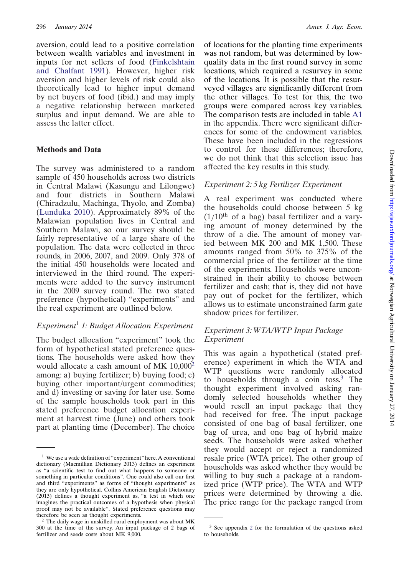aversion, could lead to a positive correlation between wealth variables and investment in inputs for net sellers of food [\(Finkelshtain](#page-15-0) [and Chalfant 1991\)](#page-15-0). However, higher risk aversion and higher levels of risk could also theoretically lead to higher input demand by net buyers of food (ibid.) and may imply a negative relationship between marketed surplus and input demand. We are able to assess the latter effect.

#### **Methods and Data**

The survey was administered to a random sample of 450 households across two districts in Central Malawi (Kasungu and Lilongwe) and four districts in Southern Malawi (Chiradzulu, Machinga, Thyolo, and Zomba) [\(Lunduka 2010\)](#page-15-0). Approximately 89% of the Malawian population lives in Central and Southern Malawi, so our survey should be fairly representative of a large share of the population. The data were collected in three rounds, in 2006, 2007, and 2009. Only 378 of the initial 450 households were located and interviewed in the third round. The experiments were added to the survey instrument in the 2009 survey round. The two stated preference (hypothetical) "experiments" and the real experiment are outlined below.

## *Experiment*<sup>1</sup> *1: Budget Allocation Experiment*

The budget allocation "experiment" took the form of hypothetical stated preference questions. The households were asked how they would allocate a cash amount of MK  $10,000<sup>2</sup>$ among: a) buying fertilizer; b) buying food; c) buying other important/urgent commodities; and d) investing or saving for later use. Some of the sample households took part in this stated preference budget allocation experiment at harvest time (June) and others took part at planting time (December). The choice

of locations for the planting time experiments was not random, but was determined by lowquality data in the first round survey in some locations, which required a resurvey in some of the locations. It is possible that the resurveyed villages are significantly different from the other villages. To test for this, the two groups were compared across key variables. The comparison tests are included in table [A1](#page-16-0) in the appendix. There were significant differences for some of the endowment variables. These have been included in the regressions to control for these differences; therefore, we do not think that this selection issue has affected the key results in this study.

# *Experiment 2: 5 kg Fertilizer Experiment*

A real experiment was conducted where the households could choose between 5 kg  $(1/10<sup>th</sup>$  of a bag) basal fertilizer and a varying amount of money determined by the throw of a die. The amount of money varied between MK 200 and MK 1,500. These amounts ranged from 50% to 375% of the commercial price of the fertilizer at the time of the experiments. Households were unconstrained in their ability to choose between fertilizer and cash; that is, they did not have pay out of pocket for the fertilizer, which allows us to estimate unconstrained farm gate shadow prices for fertilizer.

## *Experiment 3: WTA/WTP Input Package Experiment*

This was again a hypothetical (stated preference) experiment in which the WTA and WTP questions were randomly allocated to households through a coin toss.<sup>3</sup> The thought experiment involved asking randomly selected households whether they would resell an input package that they had received for free. The input package consisted of one bag of basal fertilizer, one bag of urea, and one bag of hybrid maize seeds. The households were asked whether they would accept or reject a randomized resale price (WTA price). The other group of households was asked whether they would be willing to buy such a package at a randomized price (WTP price). The WTA and WTP prices were determined by throwing a die. The price range for the package ranged from

<sup>1</sup> We use a wide definition of "experiment" here. A conventional dictionary (Macmillian Dictionary 2013) defines an experiment as "a scientific test to find out what happens to someone or something in particular conditions". One could also call our first and third "experiments" as forms of "thought experiments" as they are only hypothetical. Collins American English Dictionary (2013) defines a thought experiment as, "a test in which one imagines the practical outcomes of a hypothesis when physical proof may not be available". Stated preference questions may therefore be seen as thought experiments.

The daily wage in unskilled rural employment was about MK 300 at the time of the survey. An input package of 2 bags of fertilizer and seeds costs about MK 9,000.

<sup>3</sup> See appendix [2](#page-17-0) for the formulation of the questions asked to households.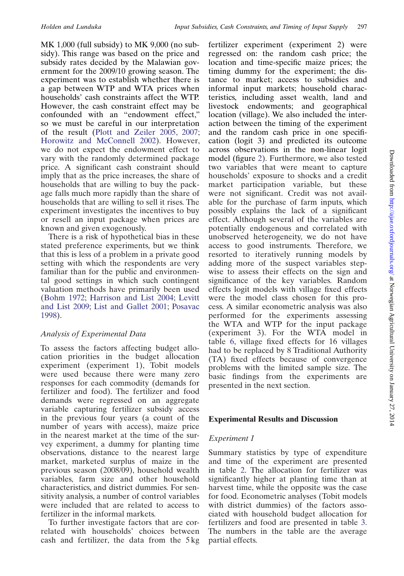MK 1,000 (full subsidy) to MK 9,000 (no subsidy). This range was based on the price and subsidy rates decided by the Malawian government for the 2009/10 growing season. The experiment was to establish whether there is a gap between WTP and WTA prices when households' cash constraints affect the WTP. However, the cash constraint effect may be confounded with an "endowment effect," so we must be careful in our interpretation of the result [\(Plott and Zeiler 2005,](#page-16-0) [2007;](#page-16-0) [Horowitz and McConnell 2002\)](#page-15-0). However, we do not expect the endowment effect to vary with the randomly determined package price. A significant cash constraint should imply that as the price increases, the share of households that are willing to buy the package falls much more rapidly than the share of households that are willing to sell it rises. The experiment investigates the incentives to buy or resell an input package when prices are known and given exogenously.

There is a risk of hypothetical bias in these stated preference experiments, but we think that this is less of a problem in a private good setting with which the respondents are very familiar than for the public and environmental good settings in which such contingent valuation methods have primarily been used [\(Bohm 1972;](#page-14-0) [Harrison and List 2004;](#page-15-0) [Levitt](#page-15-0) [and List 2009;](#page-15-0) [List and Gallet 2001;](#page-15-0) [Posavac](#page-16-0) [1998\)](#page-16-0).

# *Analysis of Experimental Data*

To assess the factors affecting budget allocation priorities in the budget allocation experiment (experiment 1), Tobit models were used because there were many zero responses for each commodity (demands for fertilizer and food). The fertilizer and food demands were regressed on an aggregate variable capturing fertilizer subsidy access in the previous four years (a count of the number of years with access), maize price in the nearest market at the time of the survey experiment, a dummy for planting time observations, distance to the nearest large market, marketed surplus of maize in the previous season (2008/09), household wealth variables, farm size and other household characteristics, and district dummies. For sensitivity analysis, a number of control variables were included that are related to access to fertilizer in the informal markets.

To further investigate factors that are correlated with households' choices between cash and fertilizer, the data from the 5 kg fertilizer experiment (experiment 2) were regressed on: the random cash price; the location and time-specific maize prices; the timing dummy for the experiment; the distance to market; access to subsidies and informal input markets; household characteristics, including asset wealth, land and livestock endowments; and geographical location (village). We also included the interaction between the timing of the experiment and the random cash price in one specification (logit 3) and predicted its outcome across observations in the non-linear logit model (figure [2\)](#page-10-0). Furthermore, we also tested two variables that were meant to capture households' exposure to shocks and a credit market participation variable, but these were not significant. Credit was not available for the purchase of farm inputs, which possibly explains the lack of a significant effect. Although several of the variables are potentially endogenous and correlated with unobserved heterogeneity, we do not have access to good instruments. Therefore, we resorted to iteratively running models by adding more of the suspect variables stepwise to assess their effects on the sign and significance of the key variables. Random effects logit models with village fixed effects were the model class chosen for this process. A similar econometric analysis was also performed for the experiments assessing the WTA and WTP for the input package (experiment 3). For the WTA model in table [6,](#page-12-0) village fixed effects for 16 villages had to be replaced by 8 Traditional Authority (TA) fixed effects because of convergence problems with the limited sample size. The basic findings from the experiments are presented in the next section.

# **Experimental Results and Discussion**

## *Experiment 1*

Summary statistics by type of expenditure and time of the experiment are presented in table [2.](#page-8-0) The allocation for fertilizer was significantly higher at planting time than at harvest time, while the opposite was the case for food. Econometric analyses (Tobit models with district dummies) of the factors associated with household budget allocation for fertilizers and food are presented in table [3.](#page-8-0) The numbers in the table are the average partial effects.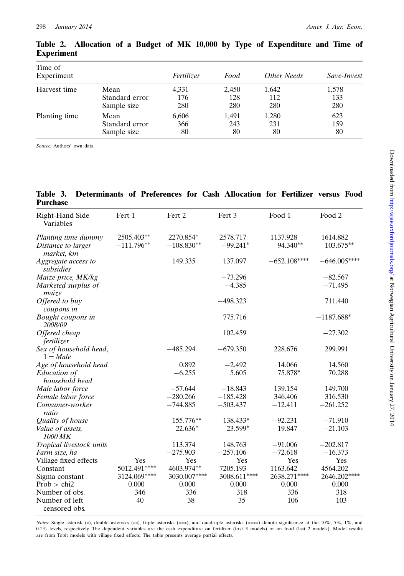| Time of<br>Experiment |                | Fertilizer | Food  | Other Needs | Save-Invest |
|-----------------------|----------------|------------|-------|-------------|-------------|
| Harvest time          | Mean           | 4.331      | 2.450 | 1,642       | 1,578       |
|                       | Standard error | 176        | 128   | 112         | 133         |
|                       | Sample size    | 280        | 280   | 280         | 280         |
| Planting time         | Mean           | 6,606      | 1.491 | 1,280       | 623         |
|                       | Standard error | 366        | 243   | 231         | 159         |
|                       | Sample size    | 80         | 80    | 80          | 80          |

<span id="page-8-0"></span>**Table 2. Allocation of a Budget of MK 10,000 by Type of Expenditure and Time of Experiment**

*Source:* Authors' own data.

**Table 3. Determinants of Preferences for Cash Allocation for Fertilizer versus Food Purchase**

| <b>Right-Hand Side</b><br>Variables                     | Fert 1                     | Fert 2                    | Fert 3                 | Food 1               | Food 2                 |
|---------------------------------------------------------|----------------------------|---------------------------|------------------------|----------------------|------------------------|
| Planting time dummy<br>Distance to larger<br>market, km | 2505.403**<br>$-111.796**$ | 2270.854*<br>$-108.830**$ | 2578.717<br>$-99.241*$ | 1137.928<br>94.340** | 1614.882<br>103.675**  |
| Aggregate access to<br>subsidies                        |                            | 149.335                   | 137.097                | $-652.108***$        | $-646.005***$          |
| Maize price, MK/kg<br>Marketed surplus of<br>maize      |                            |                           | $-73.296$<br>$-4.385$  |                      | $-82.567$<br>$-71.495$ |
| Offered to buy<br>coupons in                            |                            |                           | $-498.323$             |                      | 711.440                |
| Bought coupons in<br>2008/09                            |                            |                           | 775.716                |                      | $-1187.688*$           |
| Offered cheap<br>fertilizer                             |                            |                           | 102.459                |                      | $-27.302$              |
| Sex of household head,<br>$1 = Male$                    |                            | $-485.294$                | $-679.350$             | 228.676              | 299.991                |
| Age of household head<br>Education of<br>household head |                            | 0.892<br>$-6.255$         | $-2.492$<br>5.605      | 14.066<br>75.878*    | 14.560<br>70.288       |
| Male labor force                                        |                            | $-57.644$                 | $-18.843$              | 139.154              | 149.700                |
| Female labor force                                      |                            | $-280.266$                | $-185.428$             | 346.406              | 316.530                |
| Consumer-worker<br>ratio                                |                            | $-744.885$                | $-503.437$             | $-12.411$            | $-261.252$             |
| Quality of house                                        |                            | 155.776**                 | 138.433*               | $-92.231$            | $-71.910$              |
| Value of assets,<br>1000 MK                             |                            | $22.636*$                 | 23.599*                | $-19.847$            | $-21.103$              |
| Tropical livestock units                                |                            | 113.374                   | 148.763                | $-91.006$            | $-202.817$             |
| Farm size, ha                                           |                            | $-275.903$                | $-257.106$             | $-72.618$            | $-16.373$              |
| Village fixed effects                                   | Yes                        | Yes                       | Yes                    | Yes                  | Yes                    |
| Constant                                                | 5012.491****               | 4603.974**                | 7205.193               | 1163.642             | 4564.202               |
| Sigma constant                                          | 3124.069****               | 3030.007****              | 3008.611****           | 2638.271****         | 2646.202****           |
| Prob > chi2                                             | 0.000                      | 0.000                     | 0.000                  | 0.000                | 0.000                  |
| Number of obs.                                          | 346                        | 336                       | 318                    | 336                  | 318                    |
| Number of left<br>censored obs.                         | 40                         | 38                        | 35                     | 106                  | 103                    |

Notes: Single asterisk (\*), double asterisks (\*\*), triple asterisks (\*\*\*), and quadruple asterisks (\*\*\*\*) denote significance at the 10%, 5%, 1%, and<br>0.1% levels, respectively. The dependent variables are the cash expendit are from Tobit models with village fixed effects. The table presents average partial effects.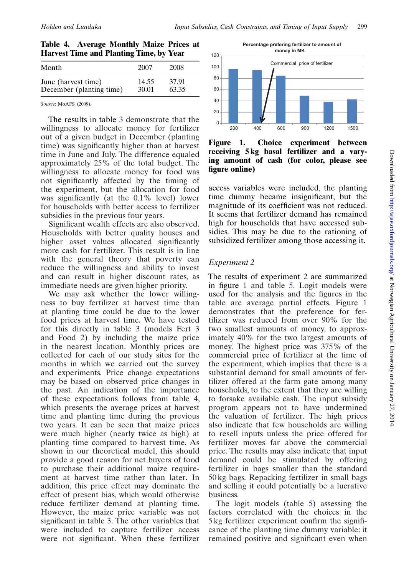**Table 4. Average Monthly Maize Prices at Harvest Time and Planting Time, by Year**

| Month                    | 2007  | 2008  |
|--------------------------|-------|-------|
| June (harvest time)      | 14.55 | 37.91 |
| December (planting time) | 30.01 | 63.35 |

*Source*: MoAFS (2009).

The results in table [3](#page-8-0) demonstrate that the willingness to allocate money for fertilizer out of a given budget in December (planting time) was significantly higher than at harvest time in June and July. The difference equaled approximately 25% of the total budget. The willingness to allocate money for food was not significantly affected by the timing of the experiment, but the allocation for food was significantly (at the 0.1% level) lower for households with better access to fertilizer subsidies in the previous four years.

Significant wealth effects are also observed. Households with better quality houses and higher asset values allocated significantly more cash for fertilizer. This result is in line with the general theory that poverty can reduce the willingness and ability to invest and can result in higher discount rates, as immediate needs are given higher priority.

We may ask whether the lower willingness to buy fertilizer at harvest time than at planting time could be due to the lower food prices at harvest time. We have tested for this directly in table [3](#page-8-0) (models Fert 3 and Food 2) by including the maize price in the nearest location. Monthly prices are collected for each of our study sites for the months in which we carried out the survey and experiments. Price change expectations may be based on observed price changes in the past. An indication of the importance of these expectations follows from table 4, which presents the average prices at harvest time and planting time during the previous two years. It can be seen that maize prices were much higher (nearly twice as high) at planting time compared to harvest time. As shown in our theoretical model, this should provide a good reason for net buyers of food to purchase their additional maize requirement at harvest time rather than later. In addition, this price effect may dominate the effect of present bias, which would otherwise reduce fertilizer demand at planting time. However, the maize price variable was not significant in table [3.](#page-8-0) The other variables that were included to capture fertilizer access were not significant. When these fertilizer



**Figure 1. Choice experiment between receiving 5 kg basal fertilizer and a varying amount of cash (for color, please see figure online)**

access variables were included, the planting time dummy became insignificant, but the magnitude of its coefficient was not reduced. It seems that fertilizer demand has remained high for households that have accessed subsidies. This may be due to the rationing of subsidized fertilizer among those accessing it.

# *Experiment 2*

The results of experiment 2 are summarized in figure 1 and table [5.](#page-10-0) Logit models were used for the analysis and the figures in the table are average partial effects. Figure 1 demonstrates that the preference for fertilizer was reduced from over 90% for the two smallest amounts of money, to approximately 40% for the two largest amounts of money. The highest price was 375% of the commercial price of fertilizer at the time of the experiment, which implies that there is a substantial demand for small amounts of fertilizer offered at the farm gate among many households, to the extent that they are willing to forsake available cash. The input subsidy program appears not to have undermined the valuation of fertilizer. The high prices also indicate that few households are willing to resell inputs unless the price offered for fertilizer moves far above the commercial price. The results may also indicate that input demand could be stimulated by offering fertilizer in bags smaller than the standard 50 kg bags. Repacking fertilizer in small bags and selling it could potentially be a lucrative business.

The logit models (table [5\)](#page-10-0) assessing the factors correlated with the choices in the 5 kg fertilizer experiment confirm the significance of the planting time dummy variable: it remained positive and significant even when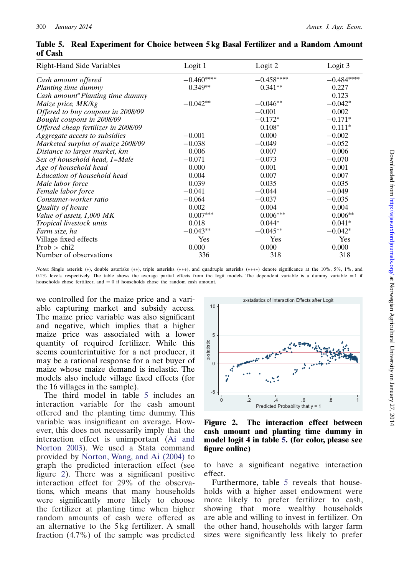| <b>Right-Hand Side Variables</b>    | Logit 1     | Logit 2     | Logit 3     |
|-------------------------------------|-------------|-------------|-------------|
| Cash amount offered                 | $-0.460***$ | $-0.458***$ | $-0.484***$ |
| Planting time dummy                 | $0.349**$   | $0.341**$   | 0.227       |
| Cash amount*Planting time dummy     |             |             | 0.123       |
| Maize price, MK/kg                  | $-0.042**$  | $-0.046**$  | $-0.042*$   |
| Offered to buy coupons in 2008/09   |             | $-0.001$    | 0.002       |
| Bought coupons in 2008/09           |             | $-0.172*$   | $-0.171*$   |
| Offered cheap fertilizer in 2008/09 |             | $0.108*$    | $0.111*$    |
| Aggregate access to subsidies       | $-0.001$    | 0.000       | $-0.002$    |
| Marketed surplus of maize 2008/09   | $-0.038$    | $-0.049$    | $-0.052$    |
| Distance to larger market, km       | 0.006       | 0.007       | 0.006       |
| Sex of household head, 1=Male       | $-0.071$    | $-0.073$    | $-0.070$    |
| Age of household head               | 0.000       | 0.001       | 0.001       |
| Education of household head         | 0.004       | 0.007       | 0.007       |
| Male labor force                    | 0.039       | 0.035       | 0.035       |
| Female labor force                  | $-0.041$    | $-0.044$    | $-0.049$    |
| Consumer-worker ratio               | $-0.064$    | $-0.037$    | $-0.035$    |
| Quality of house                    | 0.002       | 0.004       | 0.004       |
| Value of assets, 1,000 MK           | $0.007***$  | $0.006***$  | $0.006**$   |
| Tropical livestock units            | 0.018       | $0.044*$    | $0.041*$    |
| Farm size, ha                       | $-0.043**$  | $-0.045**$  | $-0.042*$   |
| Village fixed effects               | Yes         | Yes         | Yes         |
| Prob > chi2                         | 0.000       | 0.000       | 0.000       |
| Number of observations              | 336         | 318         | 318         |

#### <span id="page-10-0"></span>**Table 5. Real Experiment for Choice between 5 kg Basal Fertilizer and a Random Amount of Cash**

*Notes:* Single asterisk *(*∗*)*, double asterisks *(*∗∗*)*, triple asterisks *(*∗∗∗*)*, and quadruple asterisks *(*∗∗∗∗*)* denote significance at the 10%, 5%, 1%, and 0.1% levels, respectively. The table shows the average partial effects from the logit models. The dependent variable is a dummy variable = 1 if households chose fertilizer, and  $= 0$  if households chose the random cash amount.

we controlled for the maize price and a variable capturing market and subsidy access. The maize price variable was also significant and negative, which implies that a higher maize price was associated with a lower quantity of required fertilizer. While this seems counterintuitive for a net producer, it may be a rational response for a net buyer of maize whose maize demand is inelastic. The models also include village fixed effects (for the 16 villages in the sample).

The third model in table 5 includes an interaction variable for the cash amount offered and the planting time dummy. This variable was insignificant on average. However, this does not necessarily imply that the interaction effect is unimportant [\(Ai and](#page-14-0) [Norton 2003\)](#page-14-0). We used a Stata command provided by [Norton, Wang, and Ai \(2004\)](#page-15-0) to graph the predicted interaction effect (see figure 2). There was a significant positive interaction effect for 29% of the observations, which means that many households were significantly more likely to choose the fertilizer at planting time when higher random amounts of cash were offered as an alternative to the 5 kg fertilizer. A small fraction (4.7%) of the sample was predicted



**Figure 2. The interaction effect between cash amount and planting time dummy in model logit 4 in table 5. (for color, please see figure online)**

to have a significant negative interaction effect.

Furthermore, table 5 reveals that households with a higher asset endowment were more likely to prefer fertilizer to cash, showing that more wealthy households are able and willing to invest in fertilizer. On the other hand, households with larger farm sizes were significantly less likely to prefer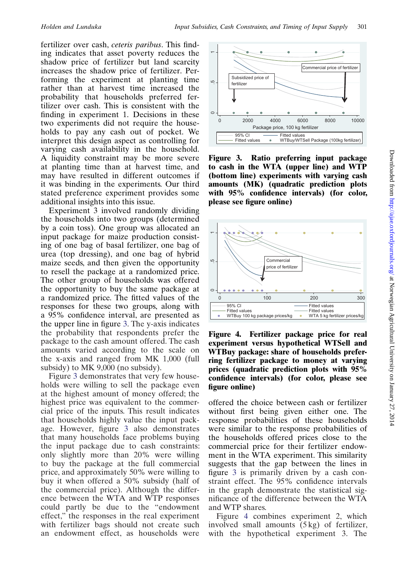<span id="page-11-0"></span>fertilizer over cash, *ceteris paribus*. This finding indicates that asset poverty reduces the shadow price of fertilizer but land scarcity increases the shadow price of fertilizer. Performing the experiment at planting time rather than at harvest time increased the probability that households preferred fertilizer over cash. This is consistent with the finding in experiment 1. Decisions in these two experiments did not require the households to pay any cash out of pocket. We interpret this design aspect as controlling for varying cash availability in the household. A liquidity constraint may be more severe at planting time than at harvest time, and may have resulted in different outcomes if it was binding in the experiments. Our third stated preference experiment provides some additional insights into this issue.

Experiment 3 involved randomly dividing the households into two groups (determined by a coin toss). One group was allocated an input package for maize production consisting of one bag of basal fertilizer, one bag of urea (top dressing), and one bag of hybrid maize seeds, and then given the opportunity to resell the package at a randomized price. The other group of households was offered the opportunity to buy the same package at a randomized price. The fitted values of the responses for these two groups, along with a 95% confidence interval, are presented as the upper line in figure 3. The y-axis indicates the probability that respondents prefer the package to the cash amount offered. The cash amounts varied according to the scale on the x-axis and ranged from MK 1,000 (full subsidy) to MK 9,000 (no subsidy).

Figure 3 demonstrates that very few households were willing to sell the package even at the highest amount of money offered; the highest price was equivalent to the commercial price of the inputs. This result indicates that households highly value the input package. However, figure 3 also demonstrates that many households face problems buying the input package due to cash constraints: only slightly more than 20% were willing to buy the package at the full commercial price, and approximately 50% were willing to buy it when offered a 50% subsidy (half of the commercial price). Although the difference between the WTA and WTP responses could partly be due to the "endowment effect," the responses in the real experiment with fertilizer bags should not create such an endowment effect, as households were



**Figure 3. Ratio preferring input package to cash in the WTA (upper line) and WTP (bottom line) experiments with varying cash amounts (MK) (quadratic prediction plots with 95% confidence intervals) (for color, please see figure online)**



#### **Figure 4. Fertilizer package price for real experiment versus hypothetical WTSell and WTBuy package: share of households preferring fertilizer package to money at varying prices (quadratic prediction plots with 95% confidence intervals) (for color, please see figure online)**

offered the choice between cash or fertilizer without first being given either one. The response probabilities of these households were similar to the response probabilities of the households offered prices close to the commercial price for their fertilizer endowment in the WTA experiment. This similarity suggests that the gap between the lines in figure 3 is primarily driven by a cash constraint effect. The 95% confidence intervals in the graph demonstrate the statistical significance of the difference between the WTA and WTP shares.

Figure 4 combines experiment 2, which involved small amounts (5 kg) of fertilizer, with the hypothetical experiment 3. The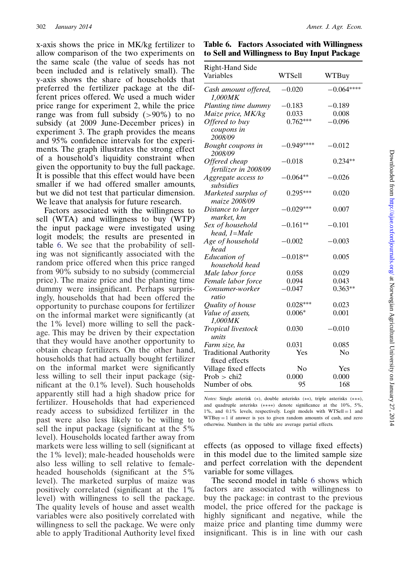<span id="page-12-0"></span>x-axis shows the price in MK/kg fertilizer to allow comparison of the two experiments on the same scale (the value of seeds has not been included and is relatively small). The y-axis shows the share of households that preferred the fertilizer package at the different prices offered. We used a much wider price range for experiment 2, while the price range was from full subsidy (*>*90%) to no subsidy (at 2009 June-December prices) in experiment 3. The graph provides the means and 95% confidence intervals for the experiments. The graph illustrates the strong effect of a household's liquidity constraint when given the opportunity to buy the full package. It is possible that this effect would have been smaller if we had offered smaller amounts, but we did not test that particular dimension. We leave that analysis for future research.

Factors associated with the willingness to sell (WTA) and willingness to buy (WTP) the input package were investigated using logit models; the results are presented in table 6. We see that the probability of selling was not significantly associated with the random price offered when this price ranged from 90% subsidy to no subsidy (commercial price). The maize price and the planting time dummy were insignificant. Perhaps surprisingly, households that had been offered the opportunity to purchase coupons for fertilizer on the informal market were significantly (at the 1% level) more willing to sell the package. This may be driven by their expectation that they would have another opportunity to obtain cheap fertilizers. On the other hand, households that had actually bought fertilizer on the informal market were significantly less willing to sell their input package (significant at the 0.1% level). Such households apparently still had a high shadow price for fertilizer. Households that had experienced ready access to subsidized fertilizer in the past were also less likely to be willing to sell the input package (significant at the 5% level). Households located farther away from markets were less willing to sell (significant at the 1% level); male-headed households were also less willing to sell relative to femaleheaded households (significant at the 5% level). The marketed surplus of maize was positively correlated (significant at the 1% level) with willingness to sell the package. The quality levels of house and asset wealth variables were also positively correlated with willingness to sell the package. We were only able to apply Traditional Authority level fixed

#### **Table 6. Factors Associated with Willingness to Sell and Willingness to Buy Input Package**

| <b>Right-Hand Side</b>                |             |             |
|---------------------------------------|-------------|-------------|
| Variables                             | WTSell      | WTBuy       |
| Cash amount offered,<br>1,000MK       | $-0.020$    | $-0.064***$ |
| Planting time dummy                   | $-0.183$    | $-0.189$    |
| Maize price, MK/kg                    | 0.033       | 0.008       |
| Offered to buy                        | $0.762***$  | $-0.096$    |
| coupons in<br>2008/09                 |             |             |
| Bought coupons in<br>2008/09          | $-0.949***$ | $-0.012$    |
| Offered cheap                         | $-0.018$    | $0.234**$   |
| fertilizer in 2008/09                 |             |             |
| Aggregate access to<br>subsidies      | $-0.064**$  | $-0.026$    |
| Marketed surplus of<br>maize 2008/09  | $0.295***$  | 0.020       |
|                                       | $-0.029***$ | 0.007       |
| Distance to larger<br>market, km      |             |             |
| Sex of household                      | $-0.161**$  | $-0.101$    |
| head, 1=Male                          |             |             |
| Age of household<br>head              | $-0.002$    | $-0.003$    |
|                                       | $-0.018**$  | 0.005       |
| <b>Education</b> of<br>household head |             |             |
| Male labor force                      | 0.058       | 0.029       |
| Female labor force                    | 0.094       | 0.043       |
| Consumer-worker                       | $-0.047$    | $0.363**$   |
| ratio                                 |             |             |
| Quality of house                      | $0.028***$  | 0.023       |
| Value of assets,                      | $0.006*$    | 0.001       |
| 1,000MK                               |             |             |
| Tropical livestock                    | 0.030       | $-0.010$    |
| units                                 |             |             |
| Farm size, ha                         | 0.031       | 0.085       |
| <b>Traditional Authority</b>          | Yes         | No          |
| fixed effects                         |             |             |
| Village fixed effects                 | No          | Yes         |
| Prob > chi2                           | 0.000       | 0.000       |
| Number of obs.                        | 95          | 168         |

*Notes:* Single asterisk *(*∗*)*, double asterisks *(*∗∗*)*, triple asterisks *(*∗∗∗*)*, and quadruple asterisks *(*∗∗∗∗*)* denote significance at the 10%, 5%, 1%, and 0.1% levels, respectively. Logit models with WTSell = 1 and WTBuy = 1 if answer is yes to given random amounts of cash, and zero otherwise. Numbers in the table are average partial effects.

effects (as opposed to village fixed effects) in this model due to the limited sample size and perfect correlation with the dependent variable for some villages.

The second model in table 6 shows which factors are associated with willingness to buy the package: in contrast to the previous model, the price offered for the package is highly significant and negative, while the maize price and planting time dummy were insignificant. This is in line with our cash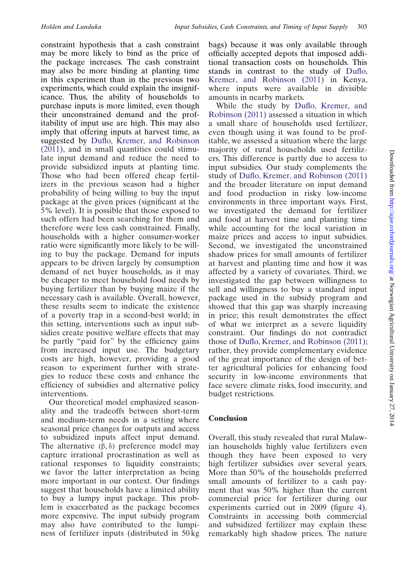constraint hypothesis that a cash constraint may be more likely to bind as the price of the package increases. The cash constraint may also be more binding at planting time in this experiment than in the previous two experiments, which could explain the insignificance. Thus, the ability of households to purchase inputs is more limited, even though their unconstrained demand and the profitability of input use are high. This may also imply that offering inputs at harvest time, as suggested by [Duflo, Kremer, and Robinson](#page-15-0) [\(2011\),](#page-15-0) and in small quantities could stimulate input demand and reduce the need to provide subsidized inputs at planting time. Those who had been offered cheap fertilizers in the previous season had a higher probability of being willing to buy the input package at the given prices (significant at the 5% level). It is possible that those exposed to such offers had been searching for them and therefore were less cash constrained. Finally, households with a higher consumer-worker ratio were significantly more likely to be willing to buy the package. Demand for inputs appears to be driven largely by consumption demand of net buyer households, as it may be cheaper to meet household food needs by buying fertilizer than by buying maize if the necessary cash is available. Overall, however, these results seem to indicate the existence of a poverty trap in a second-best world; in this setting, interventions such as input subsidies create positive welfare effects that may be partly "paid for" by the efficiency gains from increased input use. The budgetary costs are high, however, providing a good reason to experiment further with strategies to reduce these costs and enhance the efficiency of subsidies and alternative policy interventions.

Our theoretical model emphasized seasonality and the tradeoffs between short-term and medium-term needs in a setting where seasonal price changes for outputs and access to subsidized inputs affect input demand. The alternative *(*β, δ*)* preference model may capture irrational procrastination as well as rational responses to liquidity constraints; we favor the latter interpretation as being more important in our context. Our findings suggest that households have a limited ability to buy a lumpy input package. This problem is exacerbated as the package becomes more expensive. The input subsidy program may also have contributed to the lumpiness of fertilizer inputs (distributed in 50 kg bags) because it was only available through officially accepted depots that imposed additional transaction costs on households. This stands in contrast to the study of [Duflo,](#page-15-0) [Kremer, and Robinson \(2011\)](#page-15-0) in Kenya, where inputs were available in divisible amounts in nearby markets.

While the study by [Duflo, Kremer, and](#page-15-0) [Robinson \(2011\)](#page-15-0) assessed a situation in which a small share of households used fertilizer, even though using it was found to be profitable, we assessed a situation where the large majority of rural households used fertilizers. This difference is partly due to access to input subsidies. Our study complements the study of [Duflo, Kremer, and Robinson \(2011\)](#page-15-0) and the broader literature on input demand and food production in risky low-income environments in three important ways. First, we investigated the demand for fertilizer and food at harvest time and planting time while accounting for the local variation in maize prices and access to input subsidies. Second, we investigated the unconstrained shadow prices for small amounts of fertilizer at harvest and planting time and how it was affected by a variety of covariates. Third, we investigated the gap between willingness to sell and willingness to buy a standard input package used in the subsidy program and showed that this gap was sharply increasing in price; this result demonstrates the effect of what we interpret as a severe liquidity constraint. Our findings do not contradict those of [Duflo, Kremer, and Robinson \(2011\);](#page-15-0) rather, they provide complementary evidence of the great importance of the design of better agricultural policies for enhancing food security in low-income environments that face severe climate risks, food insecurity, and budget restrictions.

# **Conclusion**

Overall, this study revealed that rural Malawian households highly value fertilizers even though they have been exposed to very high fertilizer subsidies over several years. More than 50% of the households preferred small amounts of fertilizer to a cash payment that was 50% higher than the current commercial price for fertilizer during our experiments carried out in 2009 (figure [4\)](#page-11-0). Constraints in accessing both commercial and subsidized fertilizer may explain these remarkably high shadow prices. The nature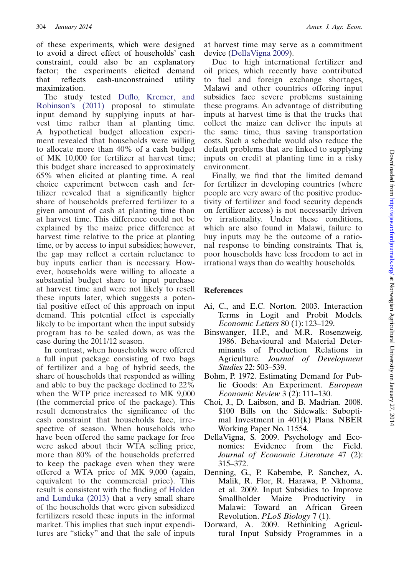<span id="page-14-0"></span>of these experiments, which were designed to avoid a direct effect of households' cash constraint, could also be an explanatory factor; the experiments elicited demand that reflects cash-unconstrained utility maximization.

The study tested [Duflo, Kremer, and](#page-15-0) [Robinson's \(2011\)](#page-15-0) proposal to stimulate input demand by supplying inputs at harvest time rather than at planting time. A hypothetical budget allocation experiment revealed that households were willing to allocate more than 40% of a cash budget of MK 10,000 for fertilizer at harvest time; this budget share increased to approximately 65% when elicited at planting time. A real choice experiment between cash and fertilizer revealed that a significantly higher share of households preferred fertilizer to a given amount of cash at planting time than at harvest time. This difference could not be explained by the maize price difference at harvest time relative to the price at planting time, or by access to input subsidies; however, the gap may reflect a certain reluctance to buy inputs earlier than is necessary. However, households were willing to allocate a substantial budget share to input purchase at harvest time and were not likely to resell these inputs later, which suggests a potential positive effect of this approach on input demand. This potential effect is especially likely to be important when the input subsidy program has to be scaled down, as was the case during the 2011/12 season.

In contrast, when households were offered a full input package consisting of two bags of fertilizer and a bag of hybrid seeds, the share of households that responded as willing and able to buy the package declined to 22% when the WTP price increased to MK 9,000 (the commercial price of the package). This result demonstrates the significance of the cash constraint that households face, irrespective of season. When households who have been offered the same package for free were asked about their WTA selling price, more than 80% of the households preferred to keep the package even when they were offered a WTA price of MK 9,000 (again, equivalent to the commercial price). This result is consistent with the finding of [Holden](#page-15-0) [and Lunduka \(2013\)](#page-15-0) that a very small share of the households that were given subsidized fertilizers resold these inputs in the informal market. This implies that such input expenditures are "sticky" and that the sale of inputs at harvest time may serve as a commitment device (DellaVigna 2009).

Due to high international fertilizer and oil prices, which recently have contributed to fuel and foreign exchange shortages, Malawi and other countries offering input subsidies face severe problems sustaining these programs. An advantage of distributing inputs at harvest time is that the trucks that collect the maize can deliver the inputs at the same time, thus saving transportation costs. Such a schedule would also reduce the default problems that are linked to supplying inputs on credit at planting time in a risky environment.

Finally, we find that the limited demand for fertilizer in developing countries (where people are very aware of the positive productivity of fertilizer and food security depends on fertilizer access) is not necessarily driven by irrationality. Under these conditions, which are also found in Malawi, failure to buy inputs may be the outcome of a rational response to binding constraints. That is, poor households have less freedom to act in irrational ways than do wealthy households.

#### **References**

- Ai, C., and E.C. Norton. 2003. Interaction Terms in Logit and Probit Models. *Economic Letters* 80 (1): 123–129.
- Binswanger, H.P., and M.R. Rosenzweig. 1986. Behavioural and Material Determinants of Production Relations in Agriculture. *Journal of Development Studies* 22: 503–539.
- Bohm, P. 1972. Estimating Demand for Public Goods: An Experiment. *European Economic Review* 3 (2): 111–130.
- Choi, J., D. Laibson, and B. Madrian. 2008. \$100 Bills on the Sidewalk: Suboptimal Investment in 401(k) Plans. NBER Working Paper No. 11554.
- DellaVigna, S. 2009. Psychology and Economics: Evidence from the Field. *Journal of Economic Literature* 47 (2): 315–372.
- Denning, G., P. Kabembe, P. Sanchez, A. Malik, R. Flor, R. Harawa, P. Nkhoma, et al. 2009. Input Subsidies to Improve Smallholder Maize Productivity in Malawi: Toward an African Green Revolution. *PLoS Biology* 7 (1).
- Dorward, A. 2009. Rethinking Agricultural Input Subsidy Programmes in a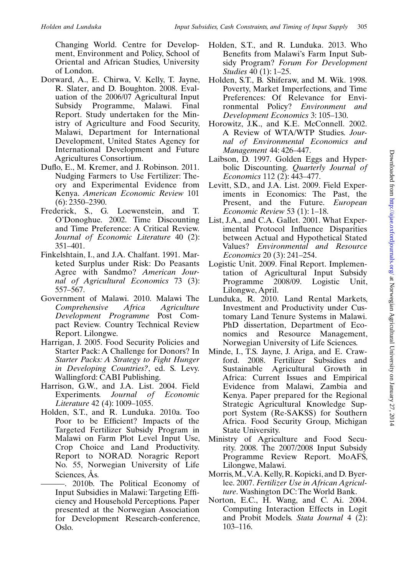<span id="page-15-0"></span>Changing World. Centre for Development, Environment and Policy, School of Oriental and African Studies, University of London.

- Dorward, A., E. Chirwa, V. Kelly, T. Jayne, R. Slater, and D. Boughton. 2008. Evaluation of the 2006/07 Agricultural Input Subsidy Programme, Malawi. Final Report. Study undertaken for the Ministry of Agriculture and Food Security, Malawi, Department for International Development, United States Agency for International Development and Future Agricultures Consortium.
- Duflo, E., M. Kremer, and J. Robinson. 2011. Nudging Farmers to Use Fertilizer: Theory and Experimental Evidence from Kenya. *American Economic Review* 101 (6): 2350–2390.
- Frederick, S., G. Loewenstein, and T. O'Donoghue. 2002. Time Discounting and Time Preference: A Critical Review. *Journal of Economic Literature* 40 (2): 351–401.
- Finkelshtain, I., and J.A. Chalfant. 1991. Marketed Surplus under Risk: Do Peasants Agree with Sandmo? *American Journal of Agricultural Economics* 73 (3): 557–567.
- Government of Malawi. 2010. Malawi The *Comprehensive Africa Agriculture Development Programme* Post Compact Review. Country Technical Review Report. Lilongwe.
- Harrigan, J. 2005. Food Security Policies and Starter Pack: A Challenge for Donors? In *Starter Packs: A Strategy to Fight Hunger in Developing Countries?*, ed. S. Levy. Wallingford: CABI Publishing.
- Harrison, G.W., and J.A. List. 2004. Field Experiments. *Journal of Economic Literature* 42 (4): 1009–1055.
- Holden, S.T., and R. Lunduka. 2010a. Too Poor to be Efficient? Impacts of the Targeted Fertilizer Subsidy Program in Malawi on Farm Plot Level Input Use, Crop Choice and Land Productivity. Report to NORAD. Noragric Report No. 55, Norwegian University of Life Sciences, Ås.
	- ———. 2010b. The Political Economy of Input Subsidies in Malawi: Targeting Efficiency and Household Perceptions. Paper presented at the Norwegian Association for Development Research-conference, Oslo.
- Holden, S.T., and R. Lunduka. 2013. Who Benefits from Malawi's Farm Input Subsidy Program? *Forum For Development Studies* 40 (1): 1–25.
- Holden, S.T., B. Shiferaw, and M. Wik. 1998. Poverty, Market Imperfections, and Time Preferences: Of Relevance for Environmental Policy? *Environment and Development Economics* 3: 105–130.
- Horowitz, J.K., and K.E. McConnell. 2002. A Review of WTA/WTP Studies. *Journal of Environmental Economics and Management* 44: 426–447.
- Laibson, D. 1997. Golden Eggs and Hyperbolic Discounting. *Quarterly Journal of Economics* 112 (2): 443–477.
- Levitt, S.D., and J.A. List. 2009. Field Experiments in Economics: The Past, the Present, and the Future. *European Economic Review* 53 (1): 1–18.
- List, J.A., and C.A. Gallet. 2001. What Experimental Protocol Influence Disparities between Actual and Hypothetical Stated Values? *Environmental and Resource Economics* 20 (3): 241–254.
- Logistic Unit. 2009. Final Report. Implementation of Agricultural Input Subsidy Programme 2008/09. Logistic Unit, Lilongwe, April.
- Lunduka, R. 2010. Land Rental Markets, Investment and Productivity under Customary Land Tenure Systems in Malawi. PhD dissertation, Department of Economics and Resource Management, Norwegian University of Life Sciences.
- Minde, I., T.S. Jayne, J. Ariga, and E. Crawford. 2008. Fertilizer Subsidies and Sustainable Agricultural Growth in Africa: Current Issues and Empirical Evidence from Malawi, Zambia and Kenya. Paper prepared for the Regional Strategic Agricultural Knowledge Support System (Re-SAKSS) for Southern Africa. Food Security Group, Michigan State University.
- Ministry of Agriculture and Food Security. 2008. The 2007/2008 Input Subsidy Programme Review Report. MoAFS, Lilongwe, Malawi.
- Morris,M.,V.A. Kelly,R. Kopicki, and D. Byerlee. 2007. *Fertilizer Use in African Agriculture*. Washington DC: The World Bank.
- Norton, E.C., H. Wang, and C. Ai. 2004. Computing Interaction Effects in Logit and Probit Models. *Stata Journal* 4 (2): 103–116.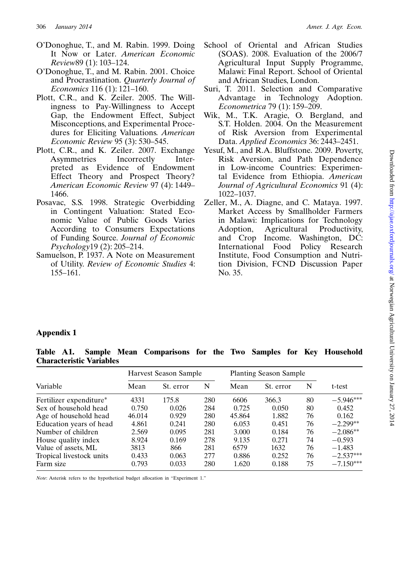- <span id="page-16-0"></span>O'Donoghue, T., and M. Rabin. 1999. Doing It Now or Later. *American Economic Review*89 (1): 103–124.
- O'Donoghue, T., and M. Rabin. 2001. Choice and Procrastination. *Quarterly Journal of Economics* 116 (1): 121–160.
- Plott, C.R., and K. Zeiler. 2005. The Willingness to Pay-Willingness to Accept Gap, the Endowment Effect, Subject Misconceptions, and Experimental Procedures for Eliciting Valuations. *American Economic Review* 95 (3): 530–545.
- Plott, C.R., and K. Zeiler. 2007. Exchange Asymmetries Incorrectly Interpreted as Evidence of Endowment Effect Theory and Prospect Theory? *American Economic Review* 97 (4): 1449– 1466.
- Posavac, S.S. 1998. Strategic Overbidding in Contingent Valuation: Stated Economic Value of Public Goods Varies According to Consumers Expectations of Funding Source. *Journal of Economic Psychology*19 (2): 205–214.
- Samuelson, P. 1937. A Note on Measurement of Utility. *Review of Economic Studies* 4: 155–161.
- School of Oriental and African Studies (SOAS). 2008. Evaluation of the 2006/7 Agricultural Input Supply Programme, Malawi: Final Report. School of Oriental and African Studies, London.
- Suri, T. 2011. Selection and Comparative Advantage in Technology Adoption. *Econometrica* 79 (1): 159–209.
- Wik, M., T.K. Aragie, O. Bergland, and S.T. Holden. 2004. On the Measurement of Risk Aversion from Experimental Data. *Applied Economics* 36: 2443–2451.
- Yesuf, M., and R.A. Bluffstone. 2009. Poverty, Risk Aversion, and Path Dependence in Low-income Countries: Experimental Evidence from Ethiopia. *American Journal of Agricultural Economics* 91 (4): 1022–1037.
- Zeller, M., A. Diagne, and C. Mataya. 1997. Market Access by Smallholder Farmers in Malawi: Implications for Technology Adoption, Agricultural Productivity, and Crop Income. Washington, DC: International Food Policy Research Institute, Food Consumption and Nutrition Division, FCND Discussion Paper No. 35.

## **Appendix 1**

**Table A1. Sample Mean Comparisons for the Two Samples for Key Household Characteristic Variables**

|                          | Harvest Season Sample |           | <b>Planting Season Sample</b> |        |           |    |             |
|--------------------------|-----------------------|-----------|-------------------------------|--------|-----------|----|-------------|
| Variable                 | Mean                  | St. error | N                             | Mean   | St. error | N  | t-test      |
| Fertilizer expenditure*  | 4331                  | 175.8     | 280                           | 6606   | 366.3     | 80 | $-5.946***$ |
| Sex of household head    | 0.750                 | 0.026     | 284                           | 0.725  | 0.050     | 80 | 0.452       |
| Age of household head    | 46.014                | 0.929     | 280                           | 45.864 | 1.882     | 76 | 0.162       |
| Education years of head  | 4.861                 | 0.241     | 280                           | 6.053  | 0.451     | 76 | $-2.299**$  |
| Number of children       | 2.569                 | 0.095     | 281                           | 3.000  | 0.184     | 76 | $-2.086**$  |
| House quality index      | 8.924                 | 0.169     | 278                           | 9.135  | 0.271     | 74 | $-0.593$    |
| Value of assets, ML      | 3813                  | 866       | 281                           | 6579   | 1632      | 76 | $-1.483$    |
| Tropical livestock units | 0.433                 | 0.063     | 277                           | 0.886  | 0.252     | 76 | $-2.537***$ |
| Farm size                | 0.793                 | 0.033     | 280                           | 1.620  | 0.188     | 75 | $-7.150***$ |

*Note*: Asterisk refers to the hypothetical budget allocation in "Experiment 1."